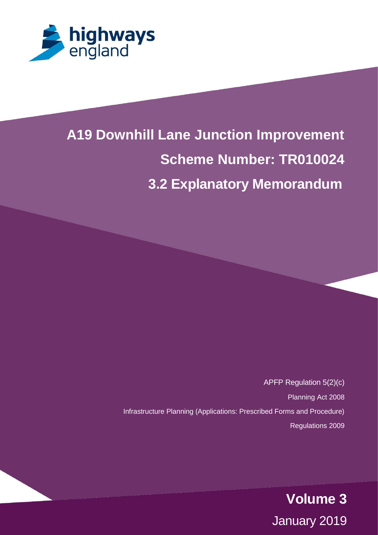

# **A19 Downhill Lane Junction Improvement Scheme Number: TR010024 3.2 Explanatory Memorandum**

APFP Regulation 5(2)(c) Planning Act 2008 Infrastructure Planning (Applications: Prescribed Forms and Procedure) Regulations 2009

> **Volume 3** January 2019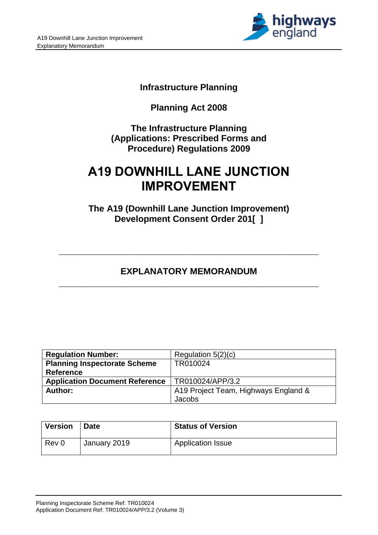

### **Infrastructure Planning**

## **Planning Act 2008**

**The Infrastructure Planning (Applications: Prescribed Forms and Procedure) Regulations 2009**

# **A19 DOWNHILL LANE JUNCTION IMPROVEMENT**

**The A19 (Downhill Lane Junction Improvement) Development Consent Order 201[ ]**

# **EXPLANATORY MEMORANDUM \_\_\_\_\_\_\_\_\_\_\_\_\_\_\_\_\_\_\_\_\_\_\_\_\_\_\_\_\_\_\_\_\_\_\_\_\_\_\_\_\_\_\_\_\_\_**

**\_\_\_\_\_\_\_\_\_\_\_\_\_\_\_\_\_\_\_\_\_\_\_\_\_\_\_\_\_\_\_\_\_\_\_\_\_\_\_\_\_\_\_\_\_\_**

| <b>Regulation Number:</b>             | Regulation $5(2)(c)$                 |
|---------------------------------------|--------------------------------------|
| <b>Planning Inspectorate Scheme</b>   | TR010024                             |
| <b>Reference</b>                      |                                      |
| <b>Application Document Reference</b> | TR010024/APP/3.2                     |
| Author:                               | A19 Project Team, Highways England & |
|                                       | Jacobs                               |

| <b>Version</b> | Date         | <b>Status of Version</b> |
|----------------|--------------|--------------------------|
| Rev 0          | January 2019 | <b>Application Issue</b> |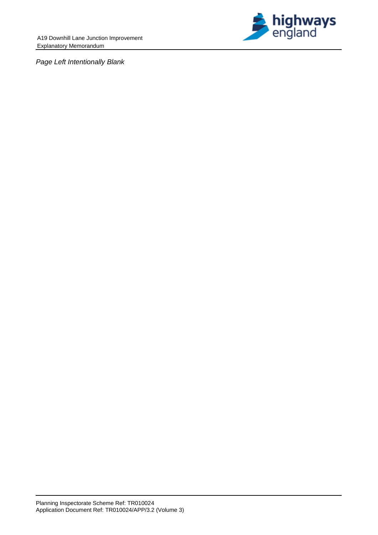

*Page Left Intentionally Blank*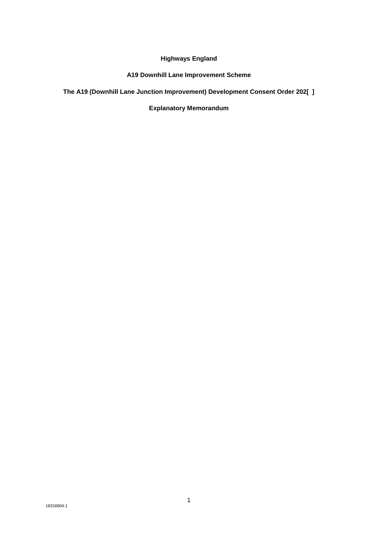#### **Highways England**

#### **A19 Downhill Lane Improvement Scheme**

**The A19 (Downhill Lane Junction Improvement) Development Consent Order 202[ ]**

#### **Explanatory Memorandum**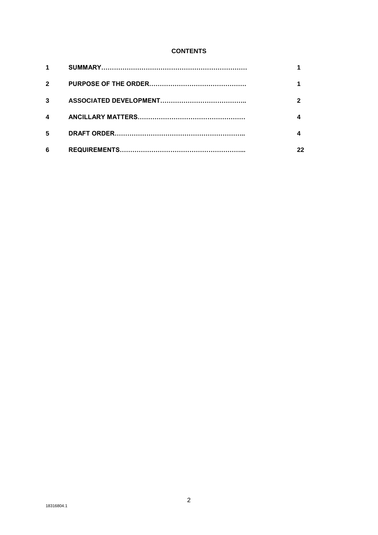#### **CONTENTS**

| $\mathbf{2}$ |    |
|--------------|----|
|              |    |
| 4            |    |
| 5            |    |
| 6            | 22 |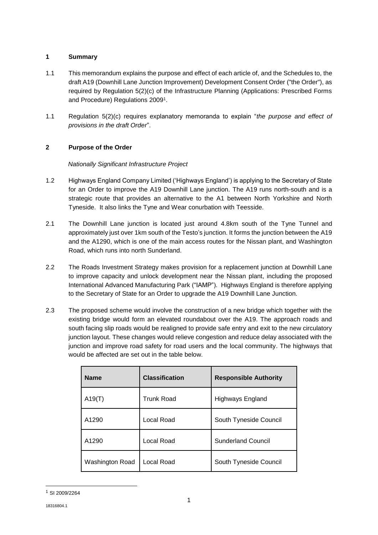#### **1 Summary**

- 1.1 This memorandum explains the purpose and effect of each article of, and the Schedules to, the draft A19 (Downhill Lane Junction Improvement) Development Consent Order ("the Order"), as required by Regulation 5(2)(c) of the Infrastructure Planning (Applications: Prescribed Forms and Procedure) Regulations 2009<sup>1</sup>.
- 1.1 Regulation 5(2)(c) requires explanatory memoranda to explain "*the purpose and effect of provisions in the draft Order*".

#### **2 Purpose of the Order**

#### *Nationally Significant Infrastructure Project*

- 1.2 Highways England Company Limited ('Highways England') is applying to the Secretary of State for an Order to improve the A19 Downhill Lane junction. The A19 runs north-south and is a strategic route that provides an alternative to the A1 between North Yorkshire and North Tyneside. It also links the Tyne and Wear conurbation with Teesside.
- 2.1 The Downhill Lane junction is located just around 4.8km south of the Tyne Tunnel and approximately just over 1km south of the Testo's junction. It forms the junction between the A19 and the A1290, which is one of the main access routes for the Nissan plant, and Washington Road, which runs into north Sunderland.
- 2.2 The Roads Investment Strategy makes provision for a replacement junction at Downhill Lane to improve capacity and unlock development near the Nissan plant, including the proposed International Advanced Manufacturing Park ("IAMP"). Highways England is therefore applying to the Secretary of State for an Order to upgrade the A19 Downhill Lane Junction.
- 2.3 The proposed scheme would involve the construction of a new bridge which together with the existing bridge would form an elevated roundabout over the A19. The approach roads and south facing slip roads would be realigned to provide safe entry and exit to the new circulatory junction layout. These changes would relieve congestion and reduce delay associated with the junction and improve road safety for road users and the local community. The highways that would be affected are set out in the table below.

| <b>Name</b>     | <b>Classification</b> | <b>Responsible Authority</b> |
|-----------------|-----------------------|------------------------------|
| A19(T)          | <b>Trunk Road</b>     | Highways England             |
| A1290           | Local Road            | South Tyneside Council       |
| A1290           | Local Road            | <b>Sunderland Council</b>    |
| Washington Road | Local Road            | South Tyneside Council       |

<sup>1</sup> SI 2009/2264

-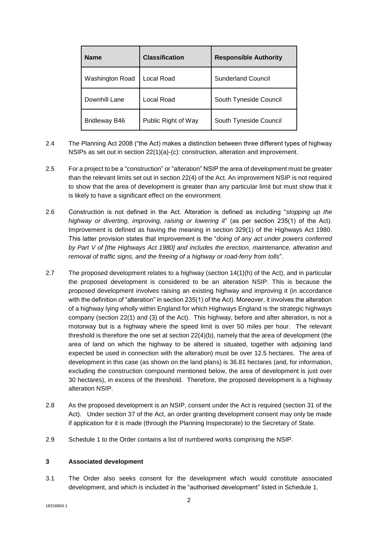| <b>Name</b>                                 | <b>Classification</b> | <b>Responsible Authority</b> |
|---------------------------------------------|-----------------------|------------------------------|
| Washington Road                             | Local Road            | <b>Sunderland Council</b>    |
| Downhill Lane                               | Local Road            | South Tyneside Council       |
| Public Right of Way<br><b>Bridleway B46</b> |                       | South Tyneside Council       |

- 2.4 The Planning Act 2008 ("the Act) makes a distinction between three different types of highway NSIPs as set out in section 22(1)(a)-(c): construction, alteration and improvement.
- 2.5 For a project to be a "construction" or "alteration" NSIP the area of development must be greater than the relevant limits set out in section 22(4) of the Act. An improvement NSIP is not required to show that the area of development is greater than any particular limit but must show that it is likely to have a significant effect on the environment.
- 2.6 Construction is not defined in the Act. Alteration is defined as including "*stopping up the highway or diverting, improving, raising or lowering it*" (as per section 235(1) of the Act). Improvement is defined as having the meaning in section 329(1) of the Highways Act 1980. This latter provision states that improvement is the "*doing of any act under powers conferred by Part V of [the Highways Act 1980] and includes the erection, maintenance, alteration and removal of traffic signs, and the freeing of a highway or road-ferry from tolls*".
- 2.7 The proposed development relates to a highway (section 14(1)(h) of the Act), and in particular the proposed development is considered to be an alteration NSIP. This is because the proposed development involves raising an existing highway and improving it (in accordance with the definition of "alteration" in section 235(1) of the Act). Moreover, it involves the alteration of a highway lying wholly within England for which Highways England is the strategic highways company (section 22(1) and (3) of the Act). This highway, before and after alteration, is not a motorway but is a highway where the speed limit is over 50 miles per hour. The relevant threshold is therefore the one set at section 22(4)(b), namely that the area of development (the area of land on which the highway to be altered is situated, together with adjoining land expected be used in connection with the alteration) must be over 12.5 hectares. The area of development in this case (as shown on the land plans) is 36.81 hectares (and, for information, excluding the construction compound mentioned below, the area of development is just over 30 hectares), in excess of the threshold. Therefore, the proposed development is a highway alteration NSIP.
- 2.8 As the proposed development is an NSIP, consent under the Act is required (section 31 of the Act). Under section 37 of the Act, an order granting development consent may only be made if application for it is made (through the Planning Inspectorate) to the Secretary of State.
- 2.9 Schedule 1 to the Order contains a list of numbered works comprising the NSIP.

#### **3 Associated development**

3.1 The Order also seeks consent for the development which would constitute associated development, and which is included in the "authorised development" listed in Schedule 1.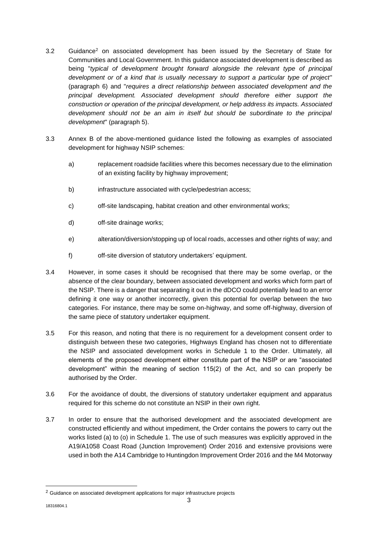- 3.2 Guidance<sup>2</sup> on associated development has been issued by the Secretary of State for Communities and Local Government. In this guidance associated development is described as being "*typical of development brought forward alongside the relevant type of principal development or of a kind that is usually necessary to support a particular type of project*" (paragraph 6) and "*requires a direct relationship between associated development and the principal development. Associated development should therefore either support the construction or operation of the principal development, or help address its impacts. Associated development should not be an aim in itself but should be subordinate to the principal development*" (paragraph 5).
- 3.3 Annex B of the above-mentioned guidance listed the following as examples of associated development for highway NSIP schemes:
	- a) replacement roadside facilities where this becomes necessary due to the elimination of an existing facility by highway improvement;
	- b) infrastructure associated with cycle/pedestrian access;
	- c) off-site landscaping, habitat creation and other environmental works;
	- d) off-site drainage works;
	- e) alteration/diversion/stopping up of local roads, accesses and other rights of way; and
	- f) off-site diversion of statutory undertakers' equipment.
- 3.4 However, in some cases it should be recognised that there may be some overlap, or the absence of the clear boundary, between associated development and works which form part of the NSIP. There is a danger that separating it out in the dDCO could potentially lead to an error defining it one way or another incorrectly, given this potential for overlap between the two categories. For instance, there may be some on-highway, and some off-highway, diversion of the same piece of statutory undertaker equipment.
- 3.5 For this reason, and noting that there is no requirement for a development consent order to distinguish between these two categories, Highways England has chosen not to differentiate the NSIP and associated development works in Schedule 1 to the Order. Ultimately, all elements of the proposed development either constitute part of the NSIP or are "associated development" within the meaning of section 115(2) of the Act, and so can properly be authorised by the Order.
- 3.6 For the avoidance of doubt, the diversions of statutory undertaker equipment and apparatus required for this scheme do not constitute an NSIP in their own right.
- 3.7 In order to ensure that the authorised development and the associated development are constructed efficiently and without impediment, the Order contains the powers to carry out the works listed (a) to (o) in Schedule 1. The use of such measures was explicitly approved in the A19/A1058 Coast Road (Junction Improvement) Order 2016 and extensive provisions were used in both the A14 Cambridge to Huntingdon Improvement Order 2016 and the M4 Motorway

-

<sup>&</sup>lt;sup>2</sup> Guidance on associated development applications for major infrastructure projects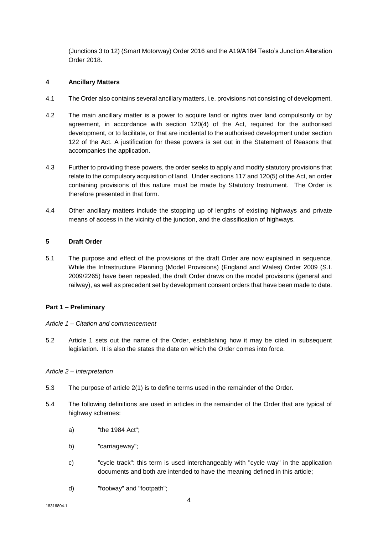(Junctions 3 to 12) (Smart Motorway) Order 2016 and the A19/A184 Testo's Junction Alteration Order 2018.

#### **4 Ancillary Matters**

- 4.1 The Order also contains several ancillary matters, i.e. provisions not consisting of development.
- 4.2 The main ancillary matter is a power to acquire land or rights over land compulsorily or by agreement, in accordance with section 120(4) of the Act, required for the authorised development, or to facilitate, or that are incidental to the authorised development under section 122 of the Act. A justification for these powers is set out in the Statement of Reasons that accompanies the application.
- 4.3 Further to providing these powers, the order seeks to apply and modify statutory provisions that relate to the compulsory acquisition of land. Under sections 117 and 120(5) of the Act, an order containing provisions of this nature must be made by Statutory Instrument. The Order is therefore presented in that form.
- 4.4 Other ancillary matters include the stopping up of lengths of existing highways and private means of access in the vicinity of the junction, and the classification of highways.

#### **5 Draft Order**

5.1 The purpose and effect of the provisions of the draft Order are now explained in sequence. While the Infrastructure Planning (Model Provisions) (England and Wales) Order 2009 (S.I. 2009/2265) have been repealed, the draft Order draws on the model provisions (general and railway), as well as precedent set by development consent orders that have been made to date.

#### **Part 1 – Preliminary**

#### *Article 1 – Citation and commencement*

5.2 Article 1 sets out the name of the Order, establishing how it may be cited in subsequent legislation. It is also the states the date on which the Order comes into force.

#### *Article 2 – Interpretation*

- 5.3 The purpose of article 2(1) is to define terms used in the remainder of the Order.
- 5.4 The following definitions are used in articles in the remainder of the Order that are typical of highway schemes:
	- a) "the 1984 Act";
	- b) "carriageway";
	- c) "cycle track": this term is used interchangeably with "cycle way" in the application documents and both are intended to have the meaning defined in this article;
	- d) "footway" and "footpath";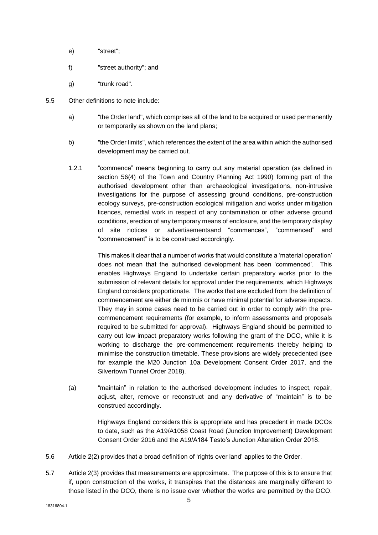- e) "street";
- f) "street authority"; and
- g) "trunk road".
- 5.5 Other definitions to note include:
	- a) "the Order land", which comprises all of the land to be acquired or used permanently or temporarily as shown on the land plans;
	- b) "the Order limits", which references the extent of the area within which the authorised development may be carried out.
	- 1.2.1 "commence" means beginning to carry out any material operation (as defined in section 56(4) of the Town and Country Planning Act 1990) forming part of the authorised development other than archaeological investigations, non-intrusive investigations for the purpose of assessing ground conditions, pre-construction ecology surveys, pre-construction ecological mitigation and works under mitigation licences, remedial work in respect of any contamination or other adverse ground conditions, erection of any temporary means of enclosure, and the temporary display of site notices or advertisementsand "commences", "commenced" and "commencement" is to be construed accordingly.

This makes it clear that a number of works that would constitute a 'material operation' does not mean that the authorised development has been 'commenced'. This enables Highways England to undertake certain preparatory works prior to the submission of relevant details for approval under the requirements, which Highways England considers proportionate. The works that are excluded from the definition of commencement are either de minimis or have minimal potential for adverse impacts. They may in some cases need to be carried out in order to comply with the precommencement requirements (for example, to inform assessments and proposals required to be submitted for approval). Highways England should be permitted to carry out low impact preparatory works following the grant of the DCO, while it is working to discharge the pre-commencement requirements thereby helping to minimise the construction timetable. These provisions are widely precedented (see for example the M20 Junction 10a Development Consent Order 2017, and the Silvertown Tunnel Order 2018).

(a) "maintain" in relation to the authorised development includes to inspect, repair, adjust, alter, remove or reconstruct and any derivative of "maintain" is to be construed accordingly.

> Highways England considers this is appropriate and has precedent in made DCOs to date, such as the A19/A1058 Coast Road (Junction Improvement) Development Consent Order 2016 and the A19/A184 Testo's Junction Alteration Order 2018.

- 5.6 Article 2(2) provides that a broad definition of 'rights over land' applies to the Order.
- 5.7 Article 2(3) provides that measurements are approximate. The purpose of this is to ensure that if, upon construction of the works, it transpires that the distances are marginally different to those listed in the DCO, there is no issue over whether the works are permitted by the DCO.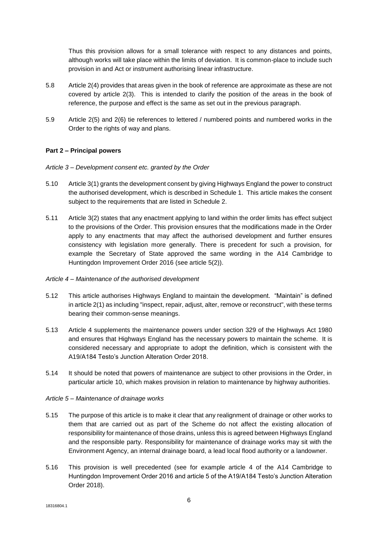Thus this provision allows for a small tolerance with respect to any distances and points, although works will take place within the limits of deviation. It is common-place to include such provision in and Act or instrument authorising linear infrastructure.

- 5.8 Article 2(4) provides that areas given in the book of reference are approximate as these are not covered by article 2(3). This is intended to clarify the position of the areas in the book of reference, the purpose and effect is the same as set out in the previous paragraph.
- 5.9 Article 2(5) and 2(6) tie references to lettered / numbered points and numbered works in the Order to the rights of way and plans.

#### **Part 2 – Principal powers**

#### *Article 3 – Development consent etc. granted by the Order*

- 5.10 Article 3(1) grants the development consent by giving Highways England the power to construct the authorised development, which is described in Schedule 1. This article makes the consent subject to the requirements that are listed in Schedule 2.
- 5.11 Article 3(2) states that any enactment applying to land within the order limits has effect subject to the provisions of the Order. This provision ensures that the modifications made in the Order apply to any enactments that may affect the authorised development and further ensures consistency with legislation more generally. There is precedent for such a provision, for example the Secretary of State approved the same wording in the A14 Cambridge to Huntingdon Improvement Order 2016 (see article 5(2)).

#### *Article 4 – Maintenance of the authorised development*

- 5.12 This article authorises Highways England to maintain the development. "Maintain" is defined in article 2(1) as including "inspect, repair, adjust, alter, remove or reconstruct", with these terms bearing their common-sense meanings.
- 5.13 Article 4 supplements the maintenance powers under section 329 of the Highways Act 1980 and ensures that Highways England has the necessary powers to maintain the scheme. It is considered necessary and appropriate to adopt the definition, which is consistent with the A19/A184 Testo's Junction Alteration Order 2018.
- 5.14 It should be noted that powers of maintenance are subject to other provisions in the Order, in particular article 10, which makes provision in relation to maintenance by highway authorities.

#### *Article 5 – Maintenance of drainage works*

- 5.15 The purpose of this article is to make it clear that any realignment of drainage or other works to them that are carried out as part of the Scheme do not affect the existing allocation of responsibility for maintenance of those drains, unless this is agreed between Highways England and the responsible party. Responsibility for maintenance of drainage works may sit with the Environment Agency, an internal drainage board, a lead local flood authority or a landowner.
- 5.16 This provision is well precedented (see for example article 4 of the A14 Cambridge to Huntingdon Improvement Order 2016 and article 5 of the A19/A184 Testo's Junction Alteration Order 2018).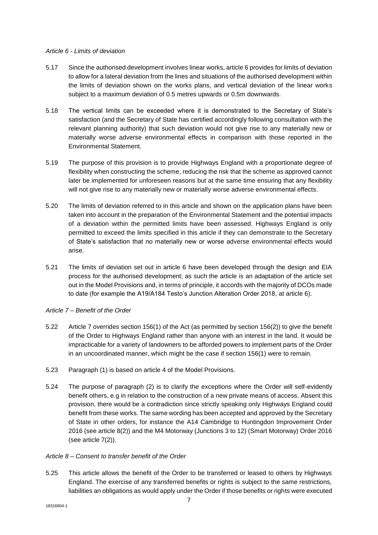#### *Article 6 - Limits of deviation*

- 5.17 Since the authorised development involves linear works, article 6 provides for limits of deviation to allow for a lateral deviation from the lines and situations of the authorised development within the limits of deviation shown on the works plans, and vertical deviation of the linear works subject to a maximum deviation of 0.5 metres upwards or 0.5m downwards.
- 5.18 The vertical limits can be exceeded where it is demonstrated to the Secretary of State's satisfaction (and the Secretary of State has certified accordingly following consultation with the relevant planning authority) that such deviation would not give rise to any materially new or materially worse adverse environmental effects in comparison with those reported in the Environmental Statement.
- 5.19 The purpose of this provision is to provide Highways England with a proportionate degree of flexibility when constructing the scheme, reducing the risk that the scheme as approved cannot later be implemented for unforeseen reasons but at the same time ensuring that any flexibility will not give rise to any materially new or materially worse adverse environmental effects.
- 5.20 The limits of deviation referred to in this article and shown on the application plans have been taken into account in the preparation of the Environmental Statement and the potential impacts of a deviation within the permitted limits have been assessed. Highways England is only permitted to exceed the limits specified in this article if they can demonstrate to the Secretary of State's satisfaction that no materially new or worse adverse environmental effects would arise.
- 5.21 The limits of deviation set out in article 6 have been developed through the design and EIA process for the authorised development; as such the article is an adaptation of the article set out in the Model Provisions and, in terms of principle, it accords with the majority of DCOs made to date (for example the A19/A184 Testo's Junction Alteration Order 2018, at article 6).

#### *Article 7 – Benefit of the Order*

- 5.22 Article 7 overrides section 156(1) of the Act (as permitted by section 156(2)) to give the benefit of the Order to Highways England rather than anyone with an interest in the land. It would be impracticable for a variety of landowners to be afforded powers to implement parts of the Order in an uncoordinated manner, which might be the case if section 156(1) were to remain.
- 5.23 Paragraph (1) is based on article 4 of the Model Provisions.
- 5.24 The purpose of paragraph (2) is to clarify the exceptions where the Order will self-evidently benefit others, e.g in relation to the construction of a new private means of access. Absent this provision, there would be a contradiction since strictly speaking only Highways England could benefit from these works. The same wording has been accepted and approved by the Secretary of State in other orders, for instance the A14 Cambridge to Huntingdon Improvement Order 2016 (see article 8(2)) and the M4 Motorway (Junctions 3 to 12) (Smart Motorway) Order 2016 (see article 7(2)).

#### *Article 8 – Consent to transfer benefit of the Order*

5.25 This article allows the benefit of the Order to be transferred or leased to others by Highways England. The exercise of any transferred benefits or rights is subject to the same restrictions, liabilities an obligations as would apply under the Order if those benefits or rights were executed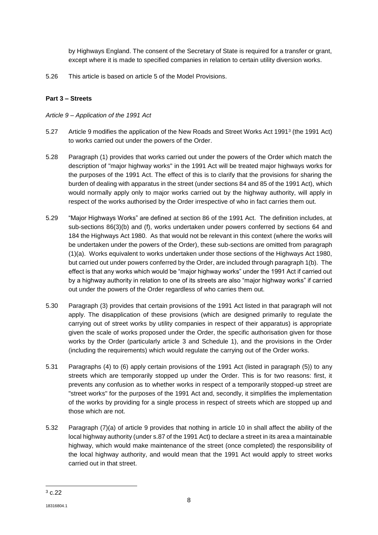by Highways England. The consent of the Secretary of State is required for a transfer or grant, except where it is made to specified companies in relation to certain utility diversion works.

5.26 This article is based on article 5 of the Model Provisions.

#### **Part 3 – Streets**

- *Article 9 – Application of the 1991 Act*
- 5.27 Article 9 modifies the application of the New Roads and Street Works Act 1991<sup>3</sup> (the 1991 Act) to works carried out under the powers of the Order.
- 5.28 Paragraph (1) provides that works carried out under the powers of the Order which match the description of "major highway works" in the 1991 Act will be treated major highways works for the purposes of the 1991 Act. The effect of this is to clarify that the provisions for sharing the burden of dealing with apparatus in the street (under sections 84 and 85 of the 1991 Act), which would normally apply only to major works carried out by the highway authority, will apply in respect of the works authorised by the Order irrespective of who in fact carries them out.
- 5.29 "Major Highways Works" are defined at section 86 of the 1991 Act. The definition includes, at sub-sections 86(3)(b) and (f), works undertaken under powers conferred by sections 64 and 184 the Highways Act 1980. As that would not be relevant in this context (where the works will be undertaken under the powers of the Order), these sub-sections are omitted from paragraph (1)(a). Works equivalent to works undertaken under those sections of the Highways Act 1980, but carried out under powers conferred by the Order, are included through paragraph 1(b). The effect is that any works which would be "major highway works" under the 1991 Act if carried out by a highway authority in relation to one of its streets are also "major highway works" if carried out under the powers of the Order regardless of who carries them out.
- 5.30 Paragraph (3) provides that certain provisions of the 1991 Act listed in that paragraph will not apply. The disapplication of these provisions (which are designed primarily to regulate the carrying out of street works by utility companies in respect of their apparatus) is appropriate given the scale of works proposed under the Order, the specific authorisation given for those works by the Order (particularly article 3 and Schedule 1), and the provisions in the Order (including the requirements) which would regulate the carrying out of the Order works.
- 5.31 Paragraphs (4) to (6) apply certain provisions of the 1991 Act (listed in paragraph (5)) to any streets which are temporarily stopped up under the Order. This is for two reasons: first, it prevents any confusion as to whether works in respect of a temporarily stopped-up street are "street works" for the purposes of the 1991 Act and, secondly, it simplifies the implementation of the works by providing for a single process in respect of streets which are stopped up and those which are not.
- 5.32 Paragraph (7)(a) of article 9 provides that nothing in article 10 in shall affect the ability of the local highway authority (under s.87 of the 1991 Act) to declare a street in its area a maintainable highway, which would make maintenance of the street (once completed) the responsibility of the local highway authority, and would mean that the 1991 Act would apply to street works carried out in that street.

-

 $3 c.22$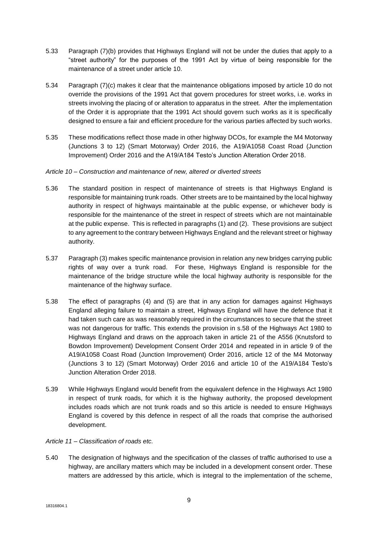- 5.33 Paragraph (7)(b) provides that Highways England will not be under the duties that apply to a "street authority" for the purposes of the 1991 Act by virtue of being responsible for the maintenance of a street under article 10.
- 5.34 Paragraph (7)(c) makes it clear that the maintenance obligations imposed by article 10 do not override the provisions of the 1991 Act that govern procedures for street works, i.e. works in streets involving the placing of or alteration to apparatus in the street. After the implementation of the Order it is appropriate that the 1991 Act should govern such works as it is specifically designed to ensure a fair and efficient procedure for the various parties affected by such works.
- 5.35 These modifications reflect those made in other highway DCOs, for example the M4 Motorway (Junctions 3 to 12) (Smart Motorway) Order 2016, the A19/A1058 Coast Road (Junction Improvement) Order 2016 and the A19/A184 Testo's Junction Alteration Order 2018.

#### *Article 10 – Construction and maintenance of new, altered or diverted streets*

- 5.36 The standard position in respect of maintenance of streets is that Highways England is responsible for maintaining trunk roads. Other streets are to be maintained by the local highway authority in respect of highways maintainable at the public expense, or whichever body is responsible for the maintenance of the street in respect of streets which are not maintainable at the public expense. This is reflected in paragraphs (1) and (2). These provisions are subject to any agreement to the contrary between Highways England and the relevant street or highway authority.
- 5.37 Paragraph (3) makes specific maintenance provision in relation any new bridges carrying public rights of way over a trunk road. For these, Highways England is responsible for the maintenance of the bridge structure while the local highway authority is responsible for the maintenance of the highway surface.
- 5.38 The effect of paragraphs (4) and (5) are that in any action for damages against Highways England alleging failure to maintain a street, Highways England will have the defence that it had taken such care as was reasonably required in the circumstances to secure that the street was not dangerous for traffic. This extends the provision in s.58 of the Highways Act 1980 to Highways England and draws on the approach taken in article 21 of the A556 (Knutsford to Bowdon Improvement) Development Consent Order 2014 and repeated in in article 9 of the A19/A1058 Coast Road (Junction Improvement) Order 2016, article 12 of the M4 Motorway (Junctions 3 to 12) (Smart Motorway) Order 2016 and article 10 of the A19/A184 Testo's Junction Alteration Order 2018.
- 5.39 While Highways England would benefit from the equivalent defence in the Highways Act 1980 in respect of trunk roads, for which it is the highway authority, the proposed development includes roads which are not trunk roads and so this article is needed to ensure Highways England is covered by this defence in respect of all the roads that comprise the authorised development.
- *Article 11 – Classification of roads etc.*
- 5.40 The designation of highways and the specification of the classes of traffic authorised to use a highway, are ancillary matters which may be included in a development consent order. These matters are addressed by this article, which is integral to the implementation of the scheme,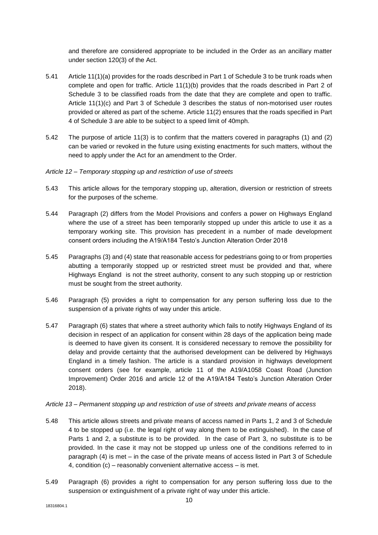and therefore are considered appropriate to be included in the Order as an ancillary matter under section 120(3) of the Act.

- 5.41 Article 11(1)(a) provides for the roads described in Part 1 of Schedule 3 to be trunk roads when complete and open for traffic. Article 11(1)(b) provides that the roads described in Part 2 of Schedule 3 to be classified roads from the date that they are complete and open to traffic. Article 11(1)(c) and Part 3 of Schedule 3 describes the status of non-motorised user routes provided or altered as part of the scheme. Article 11(2) ensures that the roads specified in Part 4 of Schedule 3 are able to be subject to a speed limit of 40mph.
- 5.42 The purpose of article 11(3) is to confirm that the matters covered in paragraphs (1) and (2) can be varied or revoked in the future using existing enactments for such matters, without the need to apply under the Act for an amendment to the Order.

#### *Article 12 – Temporary stopping up and restriction of use of streets*

- 5.43 This article allows for the temporary stopping up, alteration, diversion or restriction of streets for the purposes of the scheme.
- 5.44 Paragraph (2) differs from the Model Provisions and confers a power on Highways England where the use of a street has been temporarily stopped up under this article to use it as a temporary working site. This provision has precedent in a number of made development consent orders including the A19/A184 Testo's Junction Alteration Order 2018
- 5.45 Paragraphs (3) and (4) state that reasonable access for pedestrians going to or from properties abutting a temporarily stopped up or restricted street must be provided and that, where Highways England is not the street authority, consent to any such stopping up or restriction must be sought from the street authority.
- 5.46 Paragraph (5) provides a right to compensation for any person suffering loss due to the suspension of a private rights of way under this article.
- 5.47 Paragraph (6) states that where a street authority which fails to notify Highways England of its decision in respect of an application for consent within 28 days of the application being made is deemed to have given its consent. It is considered necessary to remove the possibility for delay and provide certainty that the authorised development can be delivered by Highways England in a timely fashion. The article is a standard provision in highways development consent orders (see for example, article 11 of the A19/A1058 Coast Road (Junction Improvement) Order 2016 and article 12 of the A19/A184 Testo's Junction Alteration Order 2018).
- *Article 13 – Permanent stopping up and restriction of use of streets and private means of access*
- 5.48 This article allows streets and private means of access named in Parts 1, 2 and 3 of Schedule 4 to be stopped up (i.e. the legal right of way along them to be extinguished). In the case of Parts 1 and 2, a substitute is to be provided. In the case of Part 3, no substitute is to be provided. In the case it may not be stopped up unless one of the conditions referred to in paragraph (4) is met – in the case of the private means of access listed in Part 3 of Schedule 4, condition (c) – reasonably convenient alternative access – is met.
- 5.49 Paragraph (6) provides a right to compensation for any person suffering loss due to the suspension or extinguishment of a private right of way under this article.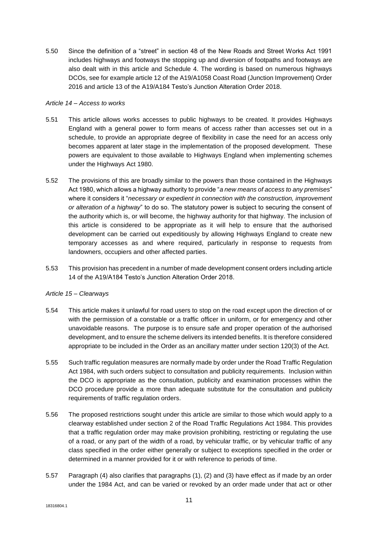5.50 Since the definition of a "street" in section 48 of the New Roads and Street Works Act 1991 includes highways and footways the stopping up and diversion of footpaths and footways are also dealt with in this article and Schedule 4. The wording is based on numerous highways DCOs, see for example article 12 of the A19/A1058 Coast Road (Junction Improvement) Order 2016 and article 13 of the A19/A184 Testo's Junction Alteration Order 2018.

#### *Article 14 – Access to works*

- 5.51 This article allows works accesses to public highways to be created. It provides Highways England with a general power to form means of access rather than accesses set out in a schedule, to provide an appropriate degree of flexibility in case the need for an access only becomes apparent at later stage in the implementation of the proposed development. These powers are equivalent to those available to Highways England when implementing schemes under the Highways Act 1980.
- 5.52 The provisions of this are broadly similar to the powers than those contained in the Highways Act 1980, which allows a highway authority to provide "*a new means of access to any premises*" where it considers it "*necessary or expedient in connection with the construction, improvement or alteration of a highway*" to do so. The statutory power is subject to securing the consent of the authority which is, or will become, the highway authority for that highway. The inclusion of this article is considered to be appropriate as it will help to ensure that the authorised development can be carried out expeditiously by allowing Highways England to create new temporary accesses as and where required, particularly in response to requests from landowners, occupiers and other affected parties.
- 5.53 This provision has precedent in a number of made development consent orders including article 14 of the A19/A184 Testo's Junction Alteration Order 2018.

#### *Article 15 – Clearways*

- 5.54 This article makes it unlawful for road users to stop on the road except upon the direction of or with the permission of a constable or a traffic officer in uniform, or for emergency and other unavoidable reasons. The purpose is to ensure safe and proper operation of the authorised development, and to ensure the scheme delivers its intended benefits. It is therefore considered appropriate to be included in the Order as an ancillary matter under section 120(3) of the Act.
- 5.55 Such traffic regulation measures are normally made by order under the Road Traffic Regulation Act 1984, with such orders subject to consultation and publicity requirements. Inclusion within the DCO is appropriate as the consultation, publicity and examination processes within the DCO procedure provide a more than adequate substitute for the consultation and publicity requirements of traffic regulation orders.
- 5.56 The proposed restrictions sought under this article are similar to those which would apply to a clearway established under section 2 of the Road Traffic Regulations Act 1984. This provides that a traffic regulation order may make provision prohibiting, restricting or regulating the use of a road, or any part of the width of a road, by vehicular traffic, or by vehicular traffic of any class specified in the order either generally or subject to exceptions specified in the order or determined in a manner provided for it or with reference to periods of time.
- 5.57 Paragraph (4) also clarifies that paragraphs (1), (2) and (3) have effect as if made by an order under the 1984 Act, and can be varied or revoked by an order made under that act or other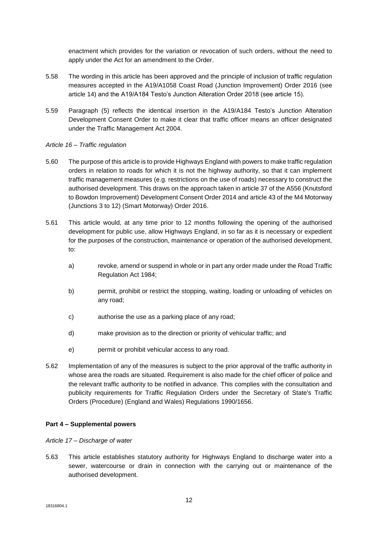enactment which provides for the variation or revocation of such orders, without the need to apply under the Act for an amendment to the Order.

- 5.58 The wording in this article has been approved and the principle of inclusion of traffic regulation measures accepted in the A19/A1058 Coast Road (Junction Improvement) Order 2016 (see article 14) and the A19/A184 Testo's Junction Alteration Order 2018 (see article 15).
- 5.59 Paragraph (5) reflects the identical insertion in the A19/A184 Testo's Junction Alteration Development Consent Order to make it clear that traffic officer means an officer designated under the Traffic Management Act 2004.

#### *Article 16 – Traffic regulation*

- 5.60 The purpose of this article is to provide Highways England with powers to make traffic regulation orders in relation to roads for which it is not the highway authority, so that it can implement traffic management measures (e.g. restrictions on the use of roads) necessary to construct the authorised development. This draws on the approach taken in article 37 of the A556 (Knutsford to Bowdon Improvement) Development Consent Order 2014 and article 43 of the M4 Motorway (Junctions 3 to 12) (Smart Motorway) Order 2016.
- 5.61 This article would, at any time prior to 12 months following the opening of the authorised development for public use, allow Highways England, in so far as it is necessary or expedient for the purposes of the construction, maintenance or operation of the authorised development, to:
	- a) revoke, amend or suspend in whole or in part any order made under the Road Traffic Regulation Act 1984;
	- b) permit, prohibit or restrict the stopping, waiting, loading or unloading of vehicles on any road;
	- c) authorise the use as a parking place of any road;
	- d) make provision as to the direction or priority of vehicular traffic; and
	- e) permit or prohibit vehicular access to any road.
- 5.62 Implementation of any of the measures is subject to the prior approval of the traffic authority in whose area the roads are situated. Requirement is also made for the chief officer of police and the relevant traffic authority to be notified in advance. This complies with the consultation and publicity requirements for Traffic Regulation Orders under the Secretary of State's Traffic Orders (Procedure) (England and Wales) Regulations 1990/1656.

#### **Part 4 – Supplemental powers**

#### *Article 17 – Discharge of water*

5.63 This article establishes statutory authority for Highways England to discharge water into a sewer, watercourse or drain in connection with the carrying out or maintenance of the authorised development.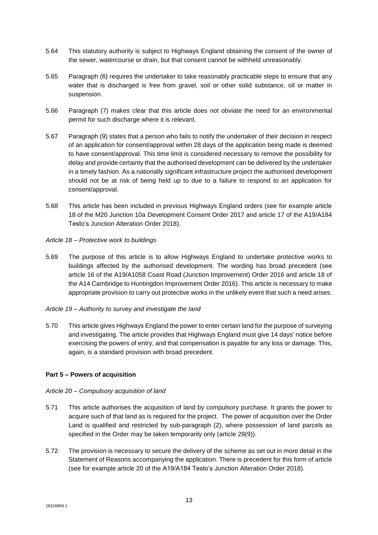- 5.64 This statutory authority is subject to Highways England obtaining the consent of the owner of the sewer, watercourse or drain, but that consent cannot be withheld unreasonably.
- 5.65 Paragraph (6) requires the undertaker to take reasonably practicable steps to ensure that any water that is discharged is free from gravel, soil or other solid substance, oil or matter in suspension.
- 5.66 Paragraph (7) makes clear that this article does not obviate the need for an environmental permit for such discharge where it is relevant.
- 5.67 Paragraph (9) states that a person who fails to notify the undertaker of their decision in respect of an application for consent/approval within 28 days of the application being made is deemed to have consent/approval. This time limit is considered necessary to remove the possibility for delay and provide certainty that the authorised development can be delivered by the undertaker in a timely fashion. As a nationally significant infrastructure project the authorised development should not be at risk of being held up to due to a failure to respond to an application for consent/approval.
- 5.68 This article has been included in previous Highways England orders (see for example article 18 of the M20 Junction 10a Development Consent Order 2017 and article 17 of the A19/A184 Testo's Junction Alteration Order 2018).
- *Article 18 – Protective work to buildings*
- 5.69 The purpose of this article is to allow Highways England to undertake protective works to buildings affected by the authorised development. The wording has broad precedent (see article 16 of the A19/A1058 Coast Road (Junction Improvement) Order 2016 and article 18 of the A14 Cambridge to Huntingdon Improvement Order 2016). This article is necessary to make appropriate provision to carry out protective works in the unlikely event that such a need arises.
- *Article 19 – Authority to survey and investigate the land*
- 5.70 This article gives Highways England the power to enter certain land for the purpose of surveying and investigating. The article provides that Highways England must give 14 days' notice before exercising the powers of entry, and that compensation is payable for any loss or damage. This, again, is a standard provision with broad precedent.

#### **Part 5 – Powers of acquisition**

#### *Article 20 – Compulsory acquisition of land*

- 5.71 This article authorises the acquisition of land by compulsory purchase. It grants the power to acquire such of that land as is required for the project. The power of acquisition over the Order Land is qualified and restricted by sub-paragraph (2), where possession of land parcels as specified in the Order may be taken temporarily only (article 29(9)).
- 5.72 The provision is necessary to secure the delivery of the scheme as set out in more detail in the Statement of Reasons accompanying the application. There is precedent for this form of article (see for example article 20 of the A19/A184 Testo's Junction Alteration Order 2018).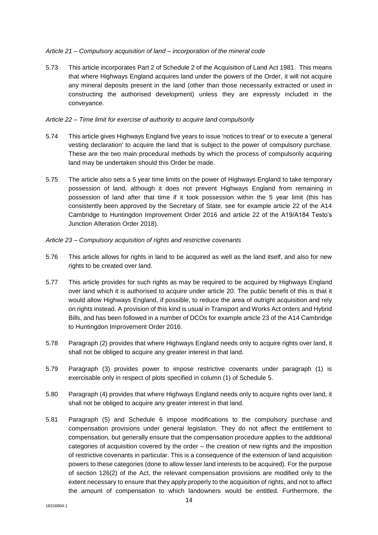#### *Article 21 – Compulsory acquisition of land – incorporation of the mineral code*

5.73 This article incorporates Part 2 of Schedule 2 of the Acquisition of Land Act 1981. This means that where Highways England acquires land under the powers of the Order, it will not acquire any mineral deposits present in the land (other than those necessarily extracted or used in constructing the authorised development) unless they are expressly included in the conveyance.

#### *Article 22 – Time limit for exercise of authority to acquire land compulsorily*

- 5.74 This article gives Highways England five years to issue 'notices to treat' or to execute a 'general vesting declaration' to acquire the land that is subject to the power of compulsory purchase. These are the two main procedural methods by which the process of compulsorily acquiring land may be undertaken should this Order be made.
- 5.75 The article also sets a 5 year time limits on the power of Highways England to take temporary possession of land, although it does not prevent Highways England from remaining in possession of land after that time if it took possession within the 5 year limit (this has consistently been approved by the Secretary of State, see for example article 22 of the A14 Cambridge to Huntingdon Improvement Order 2016 and article 22 of the A19/A184 Testo's Junction Alteration Order 2018).

#### *Article 23 – Compulsory acquisition of rights and restrictive covenants*

- 5.76 This article allows for rights in land to be acquired as well as the land itself, and also for new rights to be created over land.
- 5.77 This article provides for such rights as may be required to be acquired by Highways England over land which it is authorised to acquire under article 20. The public benefit of this is that it would allow Highways England, if possible, to reduce the area of outright acquisition and rely on rights instead. A provision of this kind is usual in Transport and Works Act orders and Hybrid Bills, and has been followed in a number of DCOs for example article 23 of the A14 Cambridge to Huntingdon Improvement Order 2016.
- 5.78 Paragraph (2) provides that where Highways England needs only to acquire rights over land, it shall not be obliged to acquire any greater interest in that land.
- 5.79 Paragraph (3) provides power to impose restrictive covenants under paragraph (1) is exercisable only in respect of plots specified in column (1) of Schedule 5.
- 5.80 Paragraph (4) provides that where Highways England needs only to acquire rights over land, it shall not be obliged to acquire any greater interest in that land.
- 5.81 Paragraph (5) and Schedule 6 impose modifications to the compulsory purchase and compensation provisions under general legislation. They do not affect the entitlement to compensation, but generally ensure that the compensation procedure applies to the additional categories of acquisition covered by the order – the creation of new rights and the imposition of restrictive covenants in particular. This is a consequence of the extension of land acquisition powers to these categories (done to allow lesser land interests to be acquired). For the purpose of section 126(2) of the Act, the relevant compensation provisions are modified only to the extent necessary to ensure that they apply properly to the acquisition of rights, and not to affect the amount of compensation to which landowners would be entitled. Furthermore, the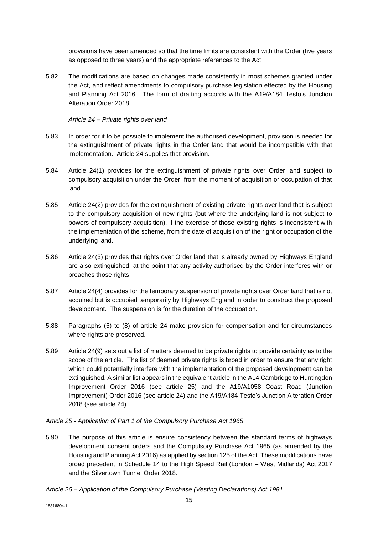provisions have been amended so that the time limits are consistent with the Order (five years as opposed to three years) and the appropriate references to the Act.

5.82 The modifications are based on changes made consistently in most schemes granted under the Act, and reflect amendments to compulsory purchase legislation effected by the Housing and Planning Act 2016. The form of drafting accords with the A19/A184 Testo's Junction Alteration Order 2018.

*Article 24 – Private rights over land*

- 5.83 In order for it to be possible to implement the authorised development, provision is needed for the extinguishment of private rights in the Order land that would be incompatible with that implementation. Article 24 supplies that provision.
- 5.84 Article 24(1) provides for the extinguishment of private rights over Order land subject to compulsory acquisition under the Order, from the moment of acquisition or occupation of that land.
- 5.85 Article 24(2) provides for the extinguishment of existing private rights over land that is subject to the compulsory acquisition of new rights (but where the underlying land is not subject to powers of compulsory acquisition), if the exercise of those existing rights is inconsistent with the implementation of the scheme, from the date of acquisition of the right or occupation of the underlying land.
- 5.86 Article 24(3) provides that rights over Order land that is already owned by Highways England are also extinguished, at the point that any activity authorised by the Order interferes with or breaches those rights.
- 5.87 Article 24(4) provides for the temporary suspension of private rights over Order land that is not acquired but is occupied temporarily by Highways England in order to construct the proposed development. The suspension is for the duration of the occupation.
- 5.88 Paragraphs (5) to (8) of article 24 make provision for compensation and for circumstances where rights are preserved.
- 5.89 Article 24(9) sets out a list of matters deemed to be private rights to provide certainty as to the scope of the article. The list of deemed private rights is broad in order to ensure that any right which could potentially interfere with the implementation of the proposed development can be extinguished. A similar list appears in the equivalent article in the A14 Cambridge to Huntingdon Improvement Order 2016 (see article 25) and the A19/A1058 Coast Road (Junction Improvement) Order 2016 (see article 24) and the A19/A184 Testo's Junction Alteration Order 2018 (see article 24).

#### *Article 25 - Application of Part 1 of the Compulsory Purchase Act 1965*

5.90 The purpose of this article is ensure consistency between the standard terms of highways development consent orders and the Compulsory Purchase Act 1965 (as amended by the Housing and Planning Act 2016) as applied by section 125 of the Act. These modifications have broad precedent in Schedule 14 to the High Speed Rail (London – West Midlands) Act 2017 and the Silvertown Tunnel Order 2018.

#### *Article 26 – Application of the Compulsory Purchase (Vesting Declarations) Act 1981*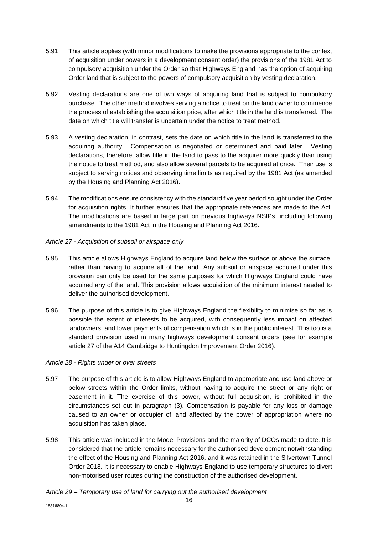- 5.91 This article applies (with minor modifications to make the provisions appropriate to the context of acquisition under powers in a development consent order) the provisions of the 1981 Act to compulsory acquisition under the Order so that Highways England has the option of acquiring Order land that is subject to the powers of compulsory acquisition by vesting declaration.
- 5.92 Vesting declarations are one of two ways of acquiring land that is subject to compulsory purchase. The other method involves serving a notice to treat on the land owner to commence the process of establishing the acquisition price, after which title in the land is transferred. The date on which title will transfer is uncertain under the notice to treat method.
- 5.93 A vesting declaration, in contrast, sets the date on which title in the land is transferred to the acquiring authority. Compensation is negotiated or determined and paid later. Vesting declarations, therefore, allow title in the land to pass to the acquirer more quickly than using the notice to treat method, and also allow several parcels to be acquired at once. Their use is subject to serving notices and observing time limits as required by the 1981 Act (as amended by the Housing and Planning Act 2016).
- 5.94 The modifications ensure consistency with the standard five year period sought under the Order for acquisition rights. It further ensures that the appropriate references are made to the Act. The modifications are based in large part on previous highways NSIPs, including following amendments to the 1981 Act in the Housing and Planning Act 2016.
- *Article 27 - Acquisition of subsoil or airspace only*
- 5.95 This article allows Highways England to acquire land below the surface or above the surface, rather than having to acquire all of the land. Any subsoil or airspace acquired under this provision can only be used for the same purposes for which Highways England could have acquired any of the land. This provision allows acquisition of the minimum interest needed to deliver the authorised development.
- 5.96 The purpose of this article is to give Highways England the flexibility to minimise so far as is possible the extent of interests to be acquired, with consequently less impact on affected landowners, and lower payments of compensation which is in the public interest. This too is a standard provision used in many highways development consent orders (see for example article 27 of the A14 Cambridge to Huntingdon Improvement Order 2016).

#### *Article 28 - Rights under or over streets*

- 5.97 The purpose of this article is to allow Highways England to appropriate and use land above or below streets within the Order limits, without having to acquire the street or any right or easement in it. The exercise of this power, without full acquisition, is prohibited in the circumstances set out in paragraph (3). Compensation is payable for any loss or damage caused to an owner or occupier of land affected by the power of appropriation where no acquisition has taken place.
- 5.98 This article was included in the Model Provisions and the majority of DCOs made to date. It is considered that the article remains necessary for the authorised development notwithstanding the effect of the Housing and Planning Act 2016, and it was retained in the Silvertown Tunnel Order 2018. It is necessary to enable Highways England to use temporary structures to divert non-motorised user routes during the construction of the authorised development.

#### *Article 29 – Temporary use of land for carrying out the authorised development*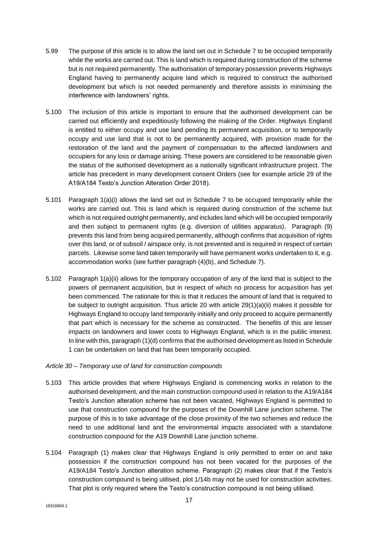- 5.99 The purpose of this article is to allow the land set out in Schedule 7 to be occupied temporarily while the works are carried out. This is land which is required during construction of the scheme but is not required permanently. The authorisation of temporary possession prevents Highways England having to permanently acquire land which is required to construct the authorised development but which is not needed permanently and therefore assists in minimising the interference with landowners' rights.
- 5.100 The inclusion of this article is important to ensure that the authorised development can be carried out efficiently and expeditiously following the making of the Order. Highways England is entitled to either occupy and use land pending its permanent acquisition, or to temporarily occupy and use land that is not to be permanently acquired, with provision made for the restoration of the land and the payment of compensation to the affected landowners and occupiers for any loss or damage arising. These powers are considered to be reasonable given the status of the authorised development as a nationally significant infrastructure project. The article has precedent in many development consent Orders (see for example article 29 of the A19/A184 Testo's Junction Alteration Order 2018).
- 5.101 Paragraph 1(a)(i) allows the land set out in Schedule 7 to be occupied temporarily while the works are carried out. This is land which is required during construction of the scheme but which is not required outright permanently, and includes land which will be occupied temporarily and then subject to permanent rights (e.g. diversion of utilities apparatus). Paragraph (9) prevents this land from being acquired permanently, although confirms that acquisition of rights over this land, or of subsoil / airspace only, is not prevented and is required in respect of certain parcels. Likewise some land taken temporarily will have permanent works undertaken to it, e.g. accommodation works (see further paragraph (4)(b), and Schedule 7).
- 5.102 Paragraph 1(a)(ii) allows for the temporary occupation of any of the land that is subject to the powers of permanent acquisition, but in respect of which no process for acquisition has yet been commenced. The rationale for this is that it reduces the amount of land that is required to be subject to outright acquisition. Thus article 20 with article 29(1)(a)(ii) makes it possible for Highways England to occupy land temporarily initially and only proceed to acquire permanently that part which is necessary for the scheme as constructed. The benefits of this are lesser impacts on landowners and lower costs to Highways England, which is in the public interest. In line with this, paragraph (1)(d) confirms that the authorised development as listed in Schedule 1 can be undertaken on land that has been temporarily occupied.

#### *Article 30 – Temporary use of land for construction compounds*

- 5.103 This article provides that where Highways England is commencing works in relation to the authorised development, and the main construction compound used in relation to the A19/A184 Testo's Junction alteration scheme has not been vacated, Highways England is permitted to use that construction compound for the purposes of the Downhill Lane junction scheme. The purpose of this is to take advantage of the close proximity of the two schemes and reduce the need to use additional land and the environmental impacts associated with a standalone construction compound for the A19 Downhill Lane junction scheme.
- 5.104 Paragraph (1) makes clear that Highways England is only permitted to enter on and take possession if the construction compound has not been vacated for the purposes of the A19/A184 Testo's Junction alteration scheme. Paragraph (2) makes clear that if the Testo's construction compound is being utilised, plot 1/14b may not be used for construction activities. That plot is only required where the Testo's construction compound is not being utilised.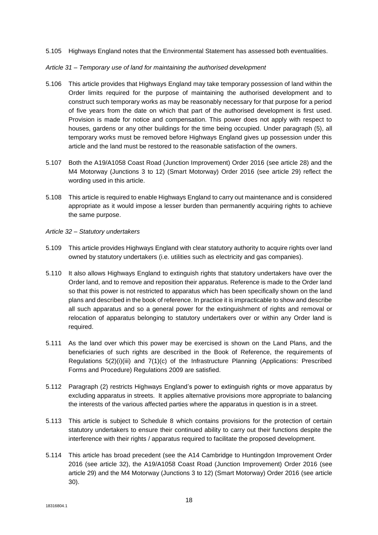#### 5.105 Highways England notes that the Environmental Statement has assessed both eventualities.

#### *Article 31 – Temporary use of land for maintaining the authorised development*

- 5.106 This article provides that Highways England may take temporary possession of land within the Order limits required for the purpose of maintaining the authorised development and to construct such temporary works as may be reasonably necessary for that purpose for a period of five years from the date on which that part of the authorised development is first used. Provision is made for notice and compensation. This power does not apply with respect to houses, gardens or any other buildings for the time being occupied. Under paragraph (5), all temporary works must be removed before Highways England gives up possession under this article and the land must be restored to the reasonable satisfaction of the owners.
- 5.107 Both the A19/A1058 Coast Road (Junction Improvement) Order 2016 (see article 28) and the M4 Motorway (Junctions 3 to 12) (Smart Motorway) Order 2016 (see article 29) reflect the wording used in this article.
- 5.108 This article is required to enable Highways England to carry out maintenance and is considered appropriate as it would impose a lesser burden than permanently acquiring rights to achieve the same purpose.
- *Article 32 – Statutory undertakers*
- 5.109 This article provides Highways England with clear statutory authority to acquire rights over land owned by statutory undertakers (i.e. utilities such as electricity and gas companies).
- 5.110 It also allows Highways England to extinguish rights that statutory undertakers have over the Order land, and to remove and reposition their apparatus. Reference is made to the Order land so that this power is not restricted to apparatus which has been specifically shown on the land plans and described in the book of reference. In practice it is impracticable to show and describe all such apparatus and so a general power for the extinguishment of rights and removal or relocation of apparatus belonging to statutory undertakers over or within any Order land is required.
- 5.111 As the land over which this power may be exercised is shown on the Land Plans, and the beneficiaries of such rights are described in the Book of Reference, the requirements of Regulations 5(2)(i)(iii) and 7(1)(c) of the Infrastructure Planning (Applications: Prescribed Forms and Procedure) Regulations 2009 are satisfied.
- 5.112 Paragraph (2) restricts Highways England's power to extinguish rights or move apparatus by excluding apparatus in streets. It applies alternative provisions more appropriate to balancing the interests of the various affected parties where the apparatus in question is in a street.
- 5.113 This article is subject to Schedule 8 which contains provisions for the protection of certain statutory undertakers to ensure their continued ability to carry out their functions despite the interference with their rights / apparatus required to facilitate the proposed development.
- 5.114 This article has broad precedent (see the A14 Cambridge to Huntingdon Improvement Order 2016 (see article 32), the A19/A1058 Coast Road (Junction Improvement) Order 2016 (see article 29) and the M4 Motorway (Junctions 3 to 12) (Smart Motorway) Order 2016 (see article 30).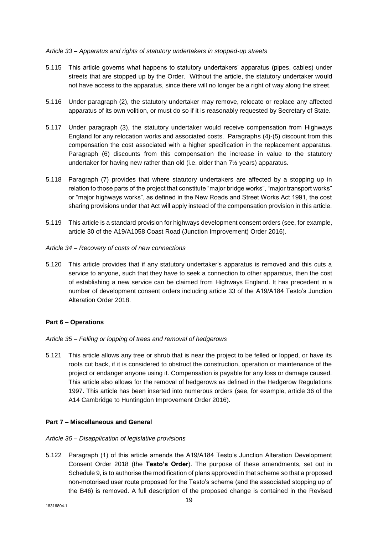#### *Article 33 – Apparatus and rights of statutory undertakers in stopped-up streets*

- 5.115 This article governs what happens to statutory undertakers' apparatus (pipes, cables) under streets that are stopped up by the Order. Without the article, the statutory undertaker would not have access to the apparatus, since there will no longer be a right of way along the street.
- 5.116 Under paragraph (2), the statutory undertaker may remove, relocate or replace any affected apparatus of its own volition, or must do so if it is reasonably requested by Secretary of State.
- 5.117 Under paragraph (3), the statutory undertaker would receive compensation from Highways England for any relocation works and associated costs. Paragraphs (4)-(5) discount from this compensation the cost associated with a higher specification in the replacement apparatus. Paragraph (6) discounts from this compensation the increase in value to the statutory undertaker for having new rather than old (i.e. older than 7½ years) apparatus.
- 5.118 Paragraph (7) provides that where statutory undertakers are affected by a stopping up in relation to those parts of the project that constitute "major bridge works", "major transport works" or "major highways works", as defined in the New Roads and Street Works Act 1991, the cost sharing provisions under that Act will apply instead of the compensation provision in this article.
- 5.119 This article is a standard provision for highways development consent orders (see, for example, article 30 of the A19/A1058 Coast Road (Junction Improvement) Order 2016).
- *Article 34 – Recovery of costs of new connections*
- 5.120 This article provides that if any statutory undertaker's apparatus is removed and this cuts a service to anyone, such that they have to seek a connection to other apparatus, then the cost of establishing a new service can be claimed from Highways England. It has precedent in a number of development consent orders including article 33 of the A19/A184 Testo's Junction Alteration Order 2018.

#### **Part 6 – Operations**

- *Article 35 – Felling or lopping of trees and removal of hedgerows*
- 5.121 This article allows any tree or shrub that is near the project to be felled or lopped, or have its roots cut back, if it is considered to obstruct the construction, operation or maintenance of the project or endanger anyone using it. Compensation is payable for any loss or damage caused. This article also allows for the removal of hedgerows as defined in the Hedgerow Regulations 1997. This article has been inserted into numerous orders (see, for example, article 36 of the A14 Cambridge to Huntingdon Improvement Order 2016).

#### **Part 7 – Miscellaneous and General**

#### *Article 36 – Disapplication of legislative provisions*

5.122 Paragraph (1) of this article amends the A19/A184 Testo's Junction Alteration Development Consent Order 2018 (the **Testo's Order**). The purpose of these amendments, set out in Schedule 9, is to authorise the modification of plans approved in that scheme so that a proposed non-motorised user route proposed for the Testo's scheme (and the associated stopping up of the B46) is removed. A full description of the proposed change is contained in the Revised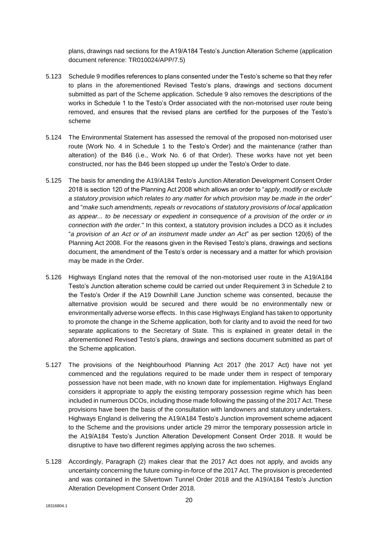plans, drawings nad sections for the A19/A184 Testo's Junction Alteration Scheme (application document reference: TR010024/APP/7.5)

- 5.123 Schedule 9 modifies references to plans consented under the Testo's scheme so that they refer to plans in the aforementioned Revised Testo's plans, drawings and sections document submitted as part of the Scheme application. Schedule 9 also removes the descriptions of the works in Schedule 1 to the Testo's Order associated with the non-motorised user route being removed, and ensures that the revised plans are certified for the purposes of the Testo's scheme
- 5.124 The Environmental Statement has assessed the removal of the proposed non-motorised user route (Work No. 4 in Schedule 1 to the Testo's Order) and the maintenance (rather than alteration) of the B46 (i.e., Work No. 6 of that Order). These works have not yet been constructed, nor has the B46 been stopped up under the Testo's Order to date.
- 5.125 The basis for amending the A19/A184 Testo's Junction Alteration Development Consent Order 2018 is section 120 of the Planning Act 2008 which allows an order to "*apply, modify or exclude a statutory provision which relates to any matter for which provision may be made in the order*" and "*make such amendments, repeals or revocations of statutory provisions of local application as appear... to be necessary or expedient in consequence of a provision of the order or in connection with the order.*" In this context, a statutory provision includes a DCO as it includes "*a provision of an Act or of an instrument made under an Act*" as per section 120(6) of the Planning Act 2008. For the reasons given in the Revised Testo's plans, drawings and sections document, the amendment of the Testo's order is necessary and a matter for which provision may be made in the Order.
- 5.126 Highways England notes that the removal of the non-motorised user route in the A19/A184 Testo's Junction alteration scheme could be carried out under Requirement 3 in Schedule 2 to the Testo's Order if the A19 Downhill Lane Junction scheme was consented, because the alternative provision would be secured and there would be no environmentally new or environmentally adverse worse effects. In this case Highways England has taken to opportunity to promote the change in the Scheme application, both for clarity and to avoid the need for two separate applications to the Secretary of State. This is explained in greater detail in the aforementioned Revised Testo's plans, drawings and sections document submitted as part of the Scheme application.
- 5.127 The provisions of the Neighbourhood Planning Act 2017 (the 2017 Act) have not yet commenced and the regulations required to be made under them in respect of temporary possession have not been made, with no known date for implementation. Highways England considers it appropriate to apply the existing temporary possession regime which has been included in numerous DCOs, including those made following the passing of the 2017 Act. These provisions have been the basis of the consultation with landowners and statutory undertakers. Highways England is delivering the A19/A184 Testo's Junction improvement scheme adjacent to the Scheme and the provisions under article 29 mirror the temporary possession article in the A19/A184 Testo's Junction Alteration Development Consent Order 2018. It would be disruptive to have two different regimes applying across the two schemes.
- 5.128 Accordingly, Paragraph (2) makes clear that the 2017 Act does not apply, and avoids any uncertainty concerning the future coming-in-force of the 2017 Act. The provision is precedented and was contained in the Silvertown Tunnel Order 2018 and the A19/A184 Testo's Junction Alteration Development Consent Order 2018.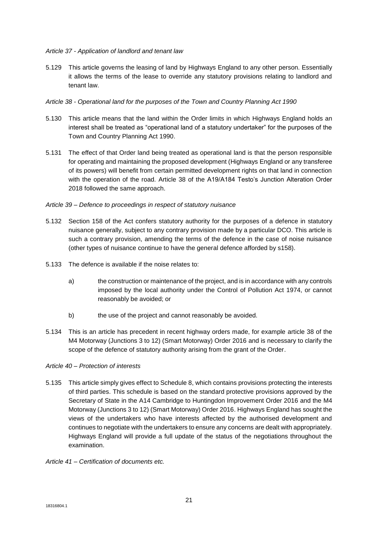#### *Article 37 - Application of landlord and tenant law*

5.129 This article governs the leasing of land by Highways England to any other person. Essentially it allows the terms of the lease to override any statutory provisions relating to landlord and tenant law.

#### *Article 38 - Operational land for the purposes of the Town and Country Planning Act 1990*

- 5.130 This article means that the land within the Order limits in which Highways England holds an interest shall be treated as "operational land of a statutory undertaker" for the purposes of the Town and Country Planning Act 1990.
- 5.131 The effect of that Order land being treated as operational land is that the person responsible for operating and maintaining the proposed development (Highways England or any transferee of its powers) will benefit from certain permitted development rights on that land in connection with the operation of the road. Article 38 of the A19/A184 Testo's Junction Alteration Order 2018 followed the same approach.

#### *Article 39 – Defence to proceedings in respect of statutory nuisance*

- 5.132 Section 158 of the Act confers statutory authority for the purposes of a defence in statutory nuisance generally, subject to any contrary provision made by a particular DCO. This article is such a contrary provision, amending the terms of the defence in the case of noise nuisance (other types of nuisance continue to have the general defence afforded by s158).
- 5.133 The defence is available if the noise relates to:
	- a) the construction or maintenance of the project, and is in accordance with any controls imposed by the local authority under the Control of Pollution Act 1974, or cannot reasonably be avoided; or
	- b) the use of the project and cannot reasonably be avoided.
- 5.134 This is an article has precedent in recent highway orders made, for example article 38 of the M4 Motorway (Junctions 3 to 12) (Smart Motorway) Order 2016 and is necessary to clarify the scope of the defence of statutory authority arising from the grant of the Order.

#### *Article 40 – Protection of interests*

- 5.135 This article simply gives effect to Schedule 8, which contains provisions protecting the interests of third parties. This schedule is based on the standard protective provisions approved by the Secretary of State in the A14 Cambridge to Huntingdon Improvement Order 2016 and the M4 Motorway (Junctions 3 to 12) (Smart Motorway) Order 2016. Highways England has sought the views of the undertakers who have interests affected by the authorised development and continues to negotiate with the undertakers to ensure any concerns are dealt with appropriately. Highways England will provide a full update of the status of the negotiations throughout the examination.
- *Article 41 – Certification of documents etc.*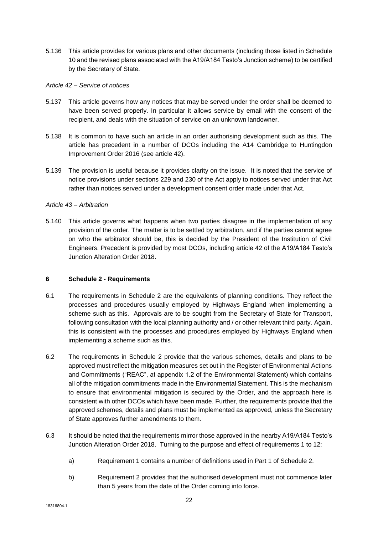5.136 This article provides for various plans and other documents (including those listed in Schedule 10 and the revised plans associated with the A19/A184 Testo's Junction scheme) to be certified by the Secretary of State.

#### *Article 42 – Service of notices*

- 5.137 This article governs how any notices that may be served under the order shall be deemed to have been served properly. In particular it allows service by email with the consent of the recipient, and deals with the situation of service on an unknown landowner.
- 5.138 It is common to have such an article in an order authorising development such as this. The article has precedent in a number of DCOs including the A14 Cambridge to Huntingdon Improvement Order 2016 (see article 42).
- 5.139 The provision is useful because it provides clarity on the issue. It is noted that the service of notice provisions under sections 229 and 230 of the Act apply to notices served under that Act rather than notices served under a development consent order made under that Act.

#### *Article 43 – Arbitration*

5.140 This article governs what happens when two parties disagree in the implementation of any provision of the order. The matter is to be settled by arbitration, and if the parties cannot agree on who the arbitrator should be, this is decided by the President of the Institution of Civil Engineers. Precedent is provided by most DCOs, including article 42 of the A19/A184 Testo's Junction Alteration Order 2018.

#### **6 Schedule 2 - Requirements**

- 6.1 The requirements in Schedule 2 are the equivalents of planning conditions. They reflect the processes and procedures usually employed by Highways England when implementing a scheme such as this. Approvals are to be sought from the Secretary of State for Transport, following consultation with the local planning authority and / or other relevant third party. Again, this is consistent with the processes and procedures employed by Highways England when implementing a scheme such as this.
- 6.2 The requirements in Schedule 2 provide that the various schemes, details and plans to be approved must reflect the mitigation measures set out in the Register of Environmental Actions and Commitments ("REAC", at appendix 1.2 of the Environmental Statement) which contains all of the mitigation commitments made in the Environmental Statement. This is the mechanism to ensure that environmental mitigation is secured by the Order, and the approach here is consistent with other DCOs which have been made. Further, the requirements provide that the approved schemes, details and plans must be implemented as approved, unless the Secretary of State approves further amendments to them.
- 6.3 It should be noted that the requirements mirror those approved in the nearby A19/A184 Testo's Junction Alteration Order 2018. Turning to the purpose and effect of requirements 1 to 12:
	- a) Requirement 1 contains a number of definitions used in Part 1 of Schedule 2.
	- b) Requirement 2 provides that the authorised development must not commence later than 5 years from the date of the Order coming into force.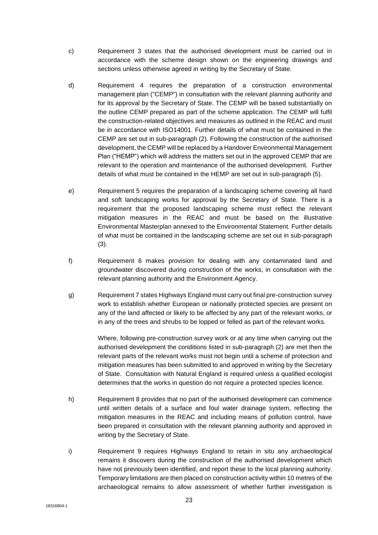- c) Requirement 3 states that the authorised development must be carried out in accordance with the scheme design shown on the engineering drawings and sections unless otherwise agreed in writing by the Secretary of State.
- d) Requirement 4 requires the preparation of a construction environmental management plan ("CEMP") in consultation with the relevant planning authority and for its approval by the Secretary of State. The CEMP will be based substantially on the outline CEMP prepared as part of the scheme application. The CEMP will fulfil the construction-related objectives and measures as outlined in the REAC and must be in accordance with ISO14001. Further details of what must be contained in the CEMP are set out in sub-paragraph (2). Following the construction of the authorised development, the CEMP will be replaced by a Handover Environmental Management Plan ("HEMP") which will address the matters set out in the approved CEMP that are relevant to the operation and maintenance of the authorised development. Further details of what must be contained in the HEMP are set out in sub-paragraph (5).
- e) Requirement 5 requires the preparation of a landscaping scheme covering all hard and soft landscaping works for approval by the Secretary of State. There is a requirement that the proposed landscaping scheme must reflect the relevant mitigation measures in the REAC and must be based on the illustrative Environmental Masterplan annexed to the Environmental Statement. Further details of what must be contained in the landscaping scheme are set out in sub-paragraph (3).
- f) Requirement 6 makes provision for dealing with any contaminated land and groundwater discovered during construction of the works, in consultation with the relevant planning authority and the Environment Agency.
- g) Requirement 7 states Highways England must carry out final pre-construction survey work to establish whether European or nationally protected species are present on any of the land affected or likely to be affected by any part of the relevant works, or in any of the trees and shrubs to be lopped or felled as part of the relevant works.

Where, following pre-construction survey work or at any time when carrying out the authorised development the conditions listed in sub-paragraph (2) are met then the relevant parts of the relevant works must not begin until a scheme of protection and mitigation measures has been submitted to and approved in writing by the Secretary of State. Consultation with Natural England is required unless a qualified ecologist determines that the works in question do not require a protected species licence.

- h) Requirement 8 provides that no part of the authorised development can commence until written details of a surface and foul water drainage system, reflecting the mitigation measures in the REAC and including means of pollution control, have been prepared in consultation with the relevant planning authority and approved in writing by the Secretary of State.
- i) Requirement 9 requires Highways England to retain in situ any archaeological remains it discovers during the construction of the authorised development which have not previously been identified, and report these to the local planning authority. Temporary limitations are then placed on construction activity within 10 metres of the archaeological remains to allow assessment of whether further investigation is